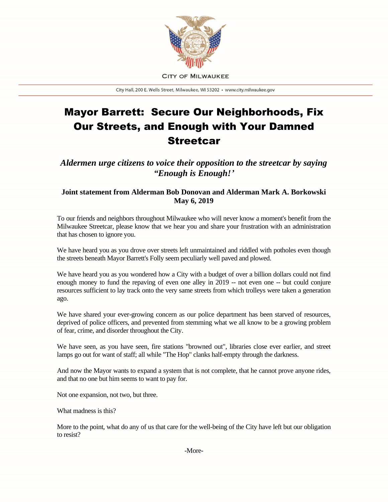

**CITY OF MILWAUKEE** 

City Hall, 200 E. Wells Street, Milwaukee, WI 53202 · www.city.milwaukee.gov

## Mayor Barrett: Secure Our Neighborhoods, Fix Our Streets, and Enough with Your Damned **Streetcar**

*Aldermen urge citizens to voice their opposition to the streetcar by saying "Enough is Enough!'*

## **Joint statement from Alderman Bob Donovan and Alderman Mark A. Borkowski May 6, 2019**

To our friends and neighbors throughout Milwaukee who will never know a moment's benefit from the Milwaukee Streetcar, please know that we hear you and share your frustration with an administration that has chosen to ignore you.

We have heard you as you drove over streets left unmaintained and riddled with potholes even though the streets beneath Mayor Barrett's Folly seem peculiarly well paved and plowed.

We have heard you as you wondered how a City with a budget of over a billion dollars could not find enough money to fund the repaving of even one alley in 2019 -- not even one -- but could conjure resources sufficient to lay track onto the very same streets from which trolleys were taken a generation ago.

We have shared your ever-growing concern as our police department has been starved of resources, deprived of police officers, and prevented from stemming what we all know to be a growing problem of fear, crime, and disorder throughout the City.

We have seen, as you have seen, fire stations "browned out", libraries close ever earlier, and street lamps go out for want of staff; all while "The Hop" clanks half-empty through the darkness.

And now the Mayor wants to expand a system that is not complete, that he cannot prove anyone rides, and that no one but him seems to want to pay for.

Not one expansion, not two, but three.

What madness is this?

More to the point, what do any of us that care for the well-being of the City have left but our obligation to resist?

-More-